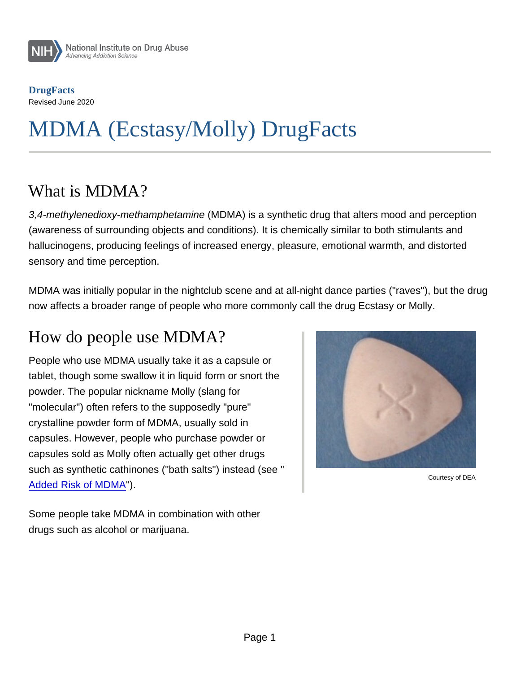**DrugFacts** Revised June 2020

# MDMA (Ecstasy/Molly) DrugFacts

### What is MDMA?

3,4-methylenedioxy-methamphetamine (MDMA) is a synthetic drug that alters mood and perception (awareness of surrounding objects and conditions). It is chemically similar to both stimulants and hallucinogens, producing feelings of increased energy, pleasure, emotional warmth, and distorted sensory and time perception.

MDMA was initially popular in the nightclub scene and at all-night dance parties ("raves"), but the drug now affects a broader range of people who more commonly call the drug Ecstasy or Molly.

## How do people use MDMA?

People who use MDMA usually take it as a capsule or tablet, though some swallow it in liquid form or snort the powder. The popular nickname Molly (slang for "molecular") often refers to the supposedly "pure" crystalline powder form of MDMA, usually sold in capsules. However, people who purchase powder or capsules sold as Molly often actually get other drugs such as synthetic cathinones ("bath salts") instead (see " Added Risk of MDMA").

Courtesy of DEA

Some people take MDMA in combination with other drugs such as alcohol or marijuana.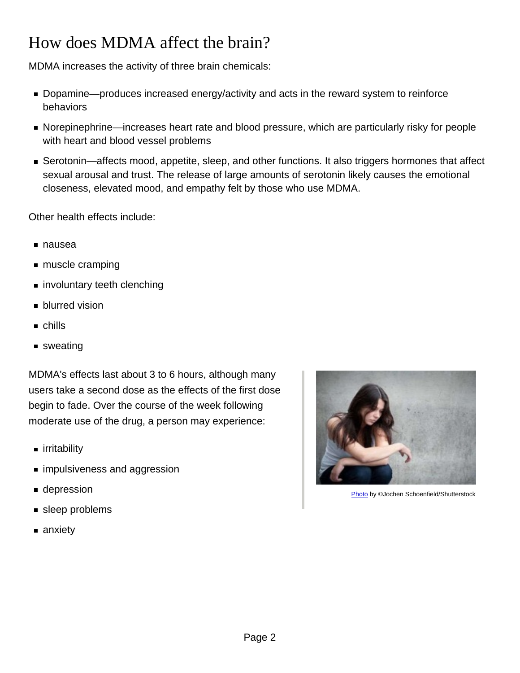# How does MDMA affect the brain?

MDMA increases the activity of three brain chemicals:

- Dopamine—produces increased energy/activity and acts in the reward system to reinforce behaviors
- Norepinephrine—increases heart rate and blood pressure, which are particularly risky for people with heart and blood vessel problems
- Serotonin—affects mood, appetite, sleep, and other functions. It also triggers hormones that affect sexual arousal and trust. The release of large amounts of serotonin likely causes the emotional closeness, elevated mood, and empathy felt by those who use MDMA.

Other health effects include:

- nausea
- muscle cramping
- involuntary teeth clenching
- **blurred vision**
- n chills
- sweating

MDMA's effects last about 3 to 6 hours, although many users take a second dose as the effects of the first dose begin to fade. Over the course of the week following moderate use of the drug, a person may experience:

- **u** irritability
- **n** impulsiveness and aggression
- depression
- sleep problems
- anxiety

[Photo](http://www.shutterstock.com/pic.mhtml?id=126526058&src=id) by ©Jochen Schoenfield/Shutterstock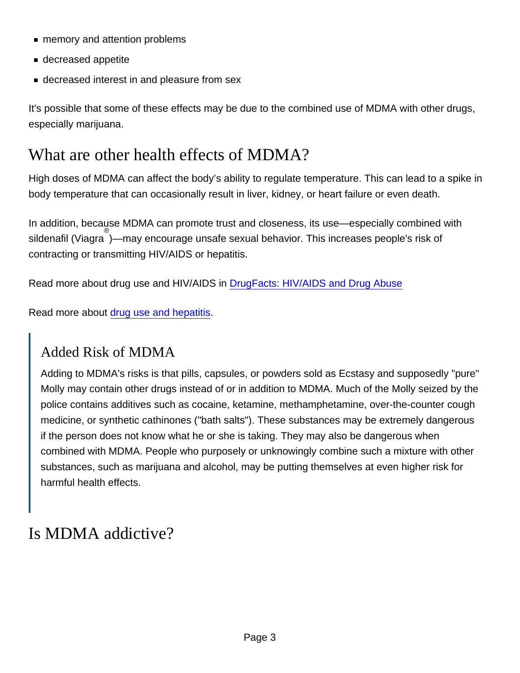- memory and attention problems
- decreased appetite
- decreased interest in and pleasure from sex

It's possible that some of these effects may be due to the combined use of MDMA with other drugs, especially marijuana.

# What are other health effects of MDMA?

High doses of MDMA can affect the body's ability to regulate temperature. This can lead to a spike in body temperature that can occasionally result in liver, kidney, or heart failure or even death.

In addition, because MDMA can promote trust and closeness, its use—especially combined with sildenafil (Viagra )—may encourage unsafe sexual behavior. This increases people's risk of contracting or transmitting HIV/AIDS or hepatitis.

Read more about drug use and HIV/AIDS in [DrugFacts: HIV/AIDS and Drug Abuse](http://nida.nih.gov/publications/drugfacts/drug-use-viral-infections-hiv-hepatitis)

Read more about [drug use and hepatitis.](http://nida.nih.gov/drug-topics/viral-hepatitis-very-real-consequence-substance-use)

#### Added Risk of MDMA

Adding to MDMA's risks is that pills, capsules, or powders sold as Ecstasy and supposedly "pure" Molly may contain other drugs instead of or in addition to MDMA. Much of the Molly seized by the police contains additives such as cocaine, ketamine, methamphetamine, over-the-counter cough medicine, or synthetic cathinones ("bath salts"). These substances may be extremely dangerous if the person does not know what he or she is taking. They may also be dangerous when combined with MDMA. People who purposely or unknowingly combine such a mixture with other substances, such as marijuana and alcohol, may be putting themselves at even higher risk for harmful health effects.

# Is MDMA addictive?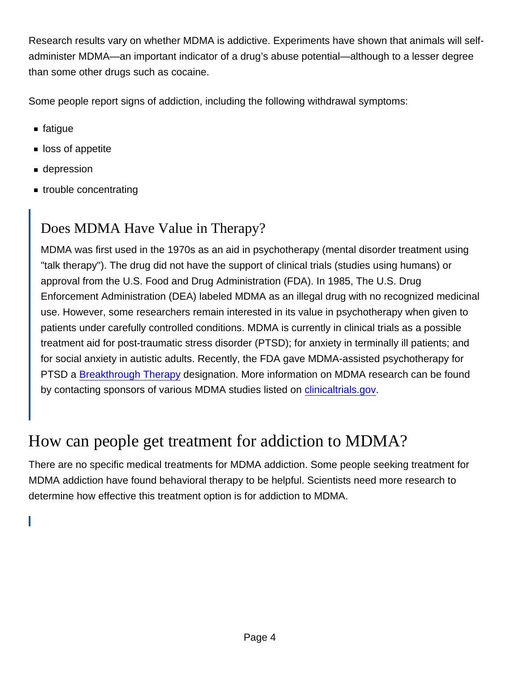Research results vary on whether MDMA is addictive. Experiments have shown that animals will selfadminister MDMA—an important indicator of a drug's abuse potential—although to a lesser degree than some other drugs such as cocaine.

Some people report signs of addiction, including the following withdrawal symptoms:

- fatigue
- loss of appetite
- depression
- **trouble concentrating**

#### Does MDMA Have Value in Therapy?

MDMA was first used in the 1970s as an aid in psychotherapy (mental disorder treatment using "talk therapy"). The drug did not have the support of clinical trials (studies using humans) or approval from the U.S. Food and Drug Administration (FDA). In 1985, The U.S. Drug Enforcement Administration (DEA) labeled MDMA as an illegal drug with no recognized medicinal use. However, some researchers remain interested in its value in psychotherapy when given to patients under carefully controlled conditions. MDMA is currently in clinical trials as a possible treatment aid for post-traumatic stress disorder (PTSD); for anxiety in terminally ill patients; and for social anxiety in autistic adults. Recently, the FDA gave MDMA-assisted psychotherapy for PTSD a [Breakthrough Therapy](https://www.fda.gov/regulatory-information/food-and-drug-administration-safety-and-innovation-act-fdasia/fact-sheet-breakthrough-therapies) designation. More information on MDMA research can be found by contacting sponsors of various MDMA studies listed on [clinicaltrials.gov.](https://clinicaltrials.gov/)

# How can people get treatment for addiction to MDMA?

There are no specific medical treatments for MDMA addiction. Some people seeking treatment for MDMA addiction have found behavioral therapy to be helpful. Scientists need more research to determine how effective this treatment option is for addiction to MDMA.